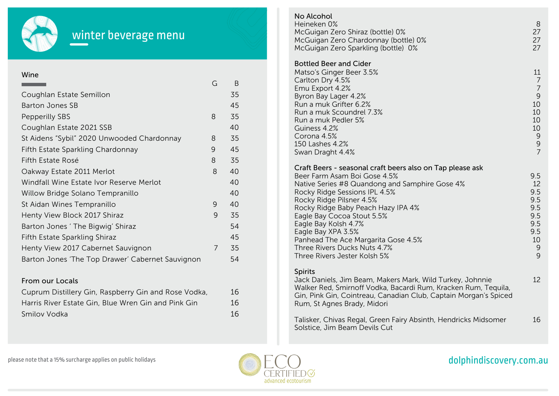

## winter beverage menu

### Wine

|                                                  | G | B  |
|--------------------------------------------------|---|----|
| Coughlan Estate Semillon                         |   | 35 |
| <b>Barton Jones SB</b>                           |   | 45 |
| <b>Pepperilly SBS</b>                            | 8 | 35 |
| Coughlan Estate 2021 SSB                         |   | 40 |
| St Aidens "Sybil" 2020 Unwooded Chardonnay       | 8 | 35 |
| Fifth Estate Sparkling Chardonnay                | 9 | 45 |
| Fifth Estate Rosé                                | 8 | 35 |
| Oakway Estate 2011 Merlot                        | 8 | 40 |
| Windfall Wine Estate Ivor Reserve Merlot         |   | 40 |
| Willow Bridge Solano Tempranillo                 |   | 40 |
| St Aidan Wines Tempranillo                       | 9 | 40 |
| Henty View Block 2017 Shiraz                     | 9 | 35 |
| Barton Jones ' The Bigwig' Shiraz                |   | 54 |
| Fifth Estate Sparkling Shiraz                    |   | 45 |
| Henty View 2017 Cabernet Sauvignon               | 7 | 35 |
| Barton Jones 'The Top Drawer' Cabernet Sauvignon |   | 54 |

### From our Locals

| Cuprum Distillery Gin, Raspberry Gin and Rose Vodka, | 16 |
|------------------------------------------------------|----|
| Harris River Estate Gin, Blue Wren Gin and Pink Gin  | 16 |
| Smilov Vodka                                         | 16 |

### Bottled Beer and Cider Matso's Ginger Beer 3.5% Carlton Dry 4.5% Emu Export 4.2% Byron Bay Lager 4.2% Run a muk Grifter 6.2% Run a muk Scoundrel 7.3% Run a muk Pedler 5% Guiness 4.2% Corona 4.5% 150 Lashes 4.2% Swan Draght 4.4% Craft Beers - seasonal craft beers also on Tap please ask Beer Farm Asam Boi Gose 4.5% Native Series #8 Quandong and Samphire Gose 4% Rocky Ridge Sessions IPL 4.5% Rocky Ridge Pilsner 4.5% Rocky Ridge Baby Peach Hazy IPA 4% Eagle Bay Cocoa Stout 5.5% Eagle Bay Kolsh 4.7% Eagle Bay XPA 3.5% Panhead The Ace Margarita Gose 4.5% Three Rivers Ducks Nuts 4.7% Three Rivers Jester Kolsh 5% Spirits Jack Daniels, Jim Beam, Makers Mark, Wild Turkey, Johnnie Walker Red, Smirnoff Vodka, Bacardi Rum, Kracken Rum, Tequila, Gin, Pink Gin, Cointreau, Canadian Club, Captain Morgan's Spiced Rum, St Agnes Brady, Midori 11 7 7 9 10 10 10 10 9 9 7 9.5 12 9.5 9.5 9.5 9.5 9.5 9.5 10 9  $\overline{Q}$ 12 No Alcohol Heineken 0% McGuigan Zero Shiraz (bottle) 0% McGuigan Zero Chardonnay (bottle) 0% McGuigan Zero Sparkling (bottle) 0% 8 27 27 27

Talisker, Chivas Regal, Green Fairy Absinth, Hendricks Midsomer Solstice, Jim Beam Devils Cut 16